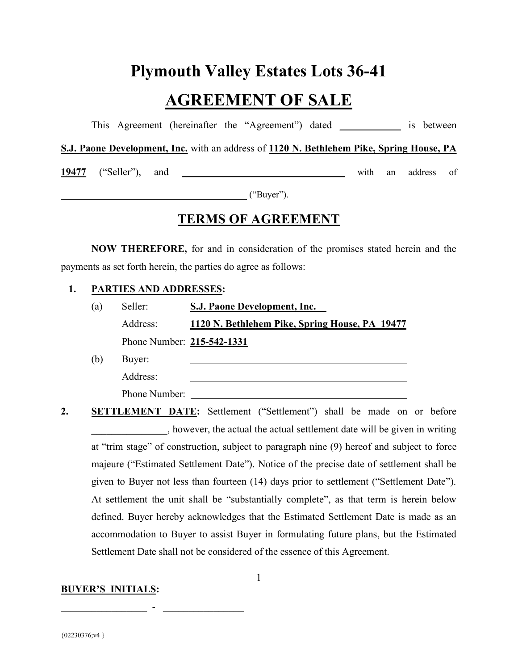# Plymouth Valley Estates Lots 36-41

# AGREEMENT OF SALE

This Agreement (hereinafter the "Agreement") dated \_\_\_\_\_\_\_\_\_\_\_\_ is between

S.J. Paone Development, Inc. with an address of 1120 N. Bethlehem Pike, Spring House, PA

19477 ("Seller"), and \_\_\_\_\_\_\_\_\_\_\_\_\_\_\_\_\_\_\_\_\_\_\_\_\_\_\_\_\_\_\_\_\_\_\_ with an address of

 $("Buyer").$ 

# TERMS OF AGREEMENT

NOW THEREFORE, for and in consideration of the promises stated herein and the payments as set forth herein, the parties do agree as follows:

#### 1. PARTIES AND ADDRESSES:

| (a) | Seller:                    | S.J. Paone Development, Inc.                   |  |
|-----|----------------------------|------------------------------------------------|--|
|     | Address:                   | 1120 N. Bethlehem Pike, Spring House, PA 19477 |  |
|     | Phone Number: 215-542-1331 |                                                |  |

(b) Buyer:

Address:

Phone Number:

 $\mathcal{L}_\text{max}$  , and the set of the set of the set of the set of the set of the set of the set of the set of the set of the set of the set of the set of the set of the set of the set of the set of the set of the set of the

2. SETTLEMENT DATE: Settlement ("Settlement") shall be made on or before \_\_\_\_\_\_\_\_\_\_\_\_\_\_\_, however, the actual the actual settlement date will be given in writing at "trim stage" of construction, subject to paragraph nine (9) hereof and subject to force majeure ("Estimated Settlement Date"). Notice of the precise date of settlement shall be given to Buyer not less than fourteen (14) days prior to settlement ("Settlement Date"). At settlement the unit shall be "substantially complete", as that term is herein below defined. Buyer hereby acknowledges that the Estimated Settlement Date is made as an accommodation to Buyer to assist Buyer in formulating future plans, but the Estimated Settlement Date shall not be considered of the essence of this Agreement.

#### BUYER'S INITIALS: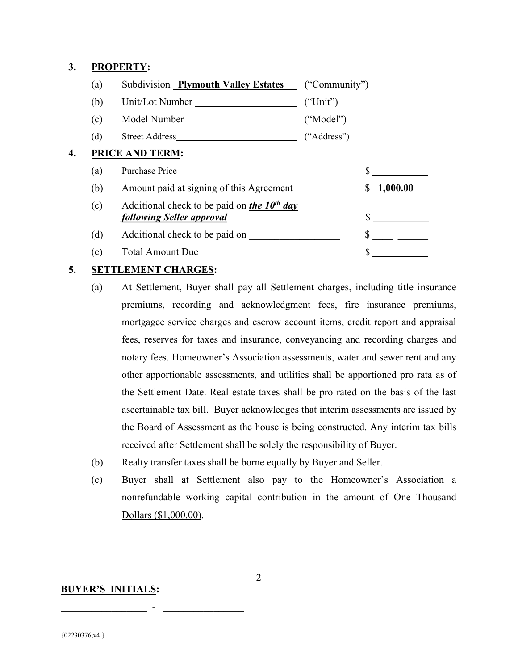#### 3. PROPERTY:

|    | (a) | Subdivision Plymouth Valley Estates                                           | ("Community") |            |
|----|-----|-------------------------------------------------------------------------------|---------------|------------|
|    | (b) |                                                                               | ("Unit")      |            |
|    | (c) | Model Number                                                                  | ("Model")     |            |
|    | (d) | Street Address                                                                | ("Address")   |            |
| 4. |     | PRICE AND TERM:                                                               |               |            |
|    | (a) | Purchase Price                                                                |               |            |
|    | (b) | Amount paid at signing of this Agreement                                      |               | \$1,000.00 |
|    | (c) | Additional check to be paid on the $10^{th}$ day<br>following Seller approval |               |            |
|    | (d) | Additional check to be paid on                                                |               |            |
|    | (e) | <b>Total Amount Due</b>                                                       |               |            |

#### 5. SETTLEMENT CHARGES:

- (a) At Settlement, Buyer shall pay all Settlement charges, including title insurance premiums, recording and acknowledgment fees, fire insurance premiums, mortgagee service charges and escrow account items, credit report and appraisal fees, reserves for taxes and insurance, conveyancing and recording charges and notary fees. Homeowner's Association assessments, water and sewer rent and any other apportionable assessments, and utilities shall be apportioned pro rata as of the Settlement Date. Real estate taxes shall be pro rated on the basis of the last ascertainable tax bill. Buyer acknowledges that interim assessments are issued by the Board of Assessment as the house is being constructed. Any interim tax bills received after Settlement shall be solely the responsibility of Buyer.
- (b) Realty transfer taxes shall be borne equally by Buyer and Seller.
- (c) Buyer shall at Settlement also pay to the Homeowner's Association a nonrefundable working capital contribution in the amount of One Thousand Dollars (\$1,000.00).

#### BUYER'S INITIALS: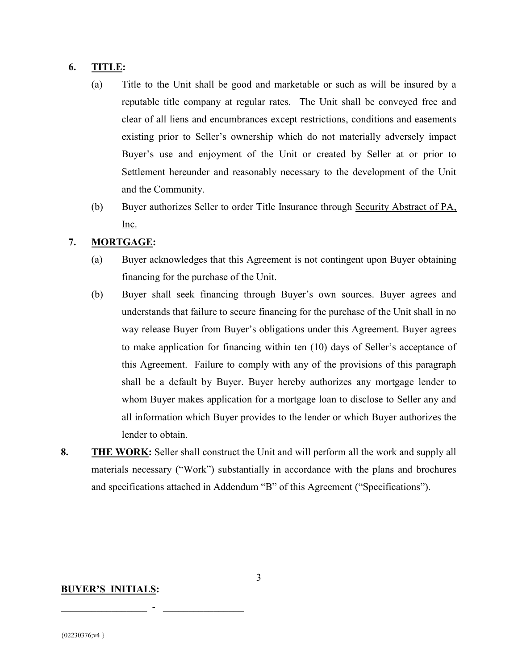#### 6. TITLE:

- (a) Title to the Unit shall be good and marketable or such as will be insured by a reputable title company at regular rates. The Unit shall be conveyed free and clear of all liens and encumbrances except restrictions, conditions and easements existing prior to Seller's ownership which do not materially adversely impact Buyer's use and enjoyment of the Unit or created by Seller at or prior to Settlement hereunder and reasonably necessary to the development of the Unit and the Community.
- (b) Buyer authorizes Seller to order Title Insurance through Security Abstract of PA, Inc.

#### 7. MORTGAGE:

- (a) Buyer acknowledges that this Agreement is not contingent upon Buyer obtaining financing for the purchase of the Unit.
- (b) Buyer shall seek financing through Buyer's own sources. Buyer agrees and understands that failure to secure financing for the purchase of the Unit shall in no way release Buyer from Buyer's obligations under this Agreement. Buyer agrees to make application for financing within ten (10) days of Seller's acceptance of this Agreement. Failure to comply with any of the provisions of this paragraph shall be a default by Buyer. Buyer hereby authorizes any mortgage lender to whom Buyer makes application for a mortgage loan to disclose to Seller any and all information which Buyer provides to the lender or which Buyer authorizes the lender to obtain.
- 8. THE WORK: Seller shall construct the Unit and will perform all the work and supply all materials necessary ("Work") substantially in accordance with the plans and brochures and specifications attached in Addendum "B" of this Agreement ("Specifications").

#### BUYER'S INITIALS: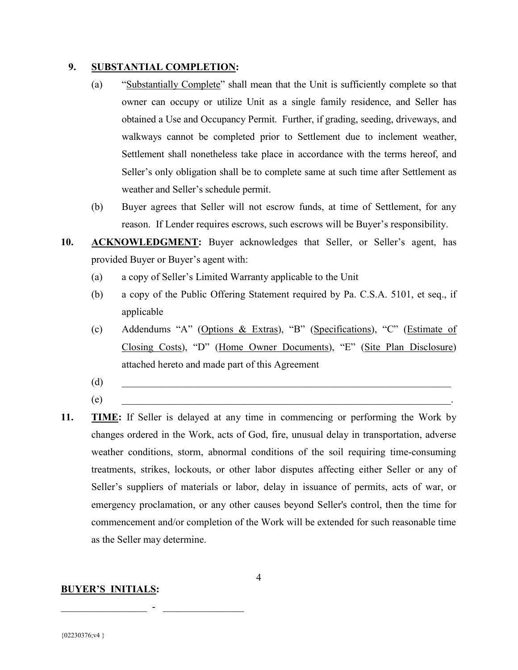#### 9. SUBSTANTIAL COMPLETION:

- (a) "Substantially Complete" shall mean that the Unit is sufficiently complete so that owner can occupy or utilize Unit as a single family residence, and Seller has obtained a Use and Occupancy Permit. Further, if grading, seeding, driveways, and walkways cannot be completed prior to Settlement due to inclement weather, Settlement shall nonetheless take place in accordance with the terms hereof, and Seller's only obligation shall be to complete same at such time after Settlement as weather and Seller's schedule permit.
- (b) Buyer agrees that Seller will not escrow funds, at time of Settlement, for any reason. If Lender requires escrows, such escrows will be Buyer's responsibility.
- 10. ACKNOWLEDGMENT: Buyer acknowledges that Seller, or Seller's agent, has provided Buyer or Buyer's agent with:
	- (a) a copy of Seller's Limited Warranty applicable to the Unit
	- (b) a copy of the Public Offering Statement required by Pa. C.S.A. 5101, et seq., if applicable
	- (c) Addendums "A" (Options & Extras), "B" (Specifications), "C" (Estimate of Closing Costs), "D" (Home Owner Documents), "E" (Site Plan Disclosure) attached hereto and made part of this Agreement
	- $(d)$
	- $(e)$
- 11. TIME: If Seller is delayed at any time in commencing or performing the Work by changes ordered in the Work, acts of God, fire, unusual delay in transportation, adverse weather conditions, storm, abnormal conditions of the soil requiring time-consuming treatments, strikes, lockouts, or other labor disputes affecting either Seller or any of Seller's suppliers of materials or labor, delay in issuance of permits, acts of war, or emergency proclamation, or any other causes beyond Seller's control, then the time for commencement and/or completion of the Work will be extended for such reasonable time as the Seller may determine.

4

#### BUYER'S INITIALS: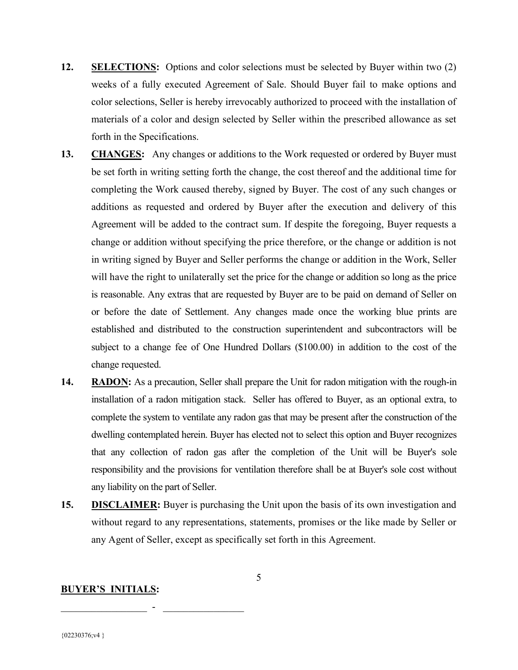- 12. SELECTIONS: Options and color selections must be selected by Buyer within two (2) weeks of a fully executed Agreement of Sale. Should Buyer fail to make options and color selections, Seller is hereby irrevocably authorized to proceed with the installation of materials of a color and design selected by Seller within the prescribed allowance as set forth in the Specifications.
- 13. CHANGES: Any changes or additions to the Work requested or ordered by Buyer must be set forth in writing setting forth the change, the cost thereof and the additional time for completing the Work caused thereby, signed by Buyer. The cost of any such changes or additions as requested and ordered by Buyer after the execution and delivery of this Agreement will be added to the contract sum. If despite the foregoing, Buyer requests a change or addition without specifying the price therefore, or the change or addition is not in writing signed by Buyer and Seller performs the change or addition in the Work, Seller will have the right to unilaterally set the price for the change or addition so long as the price is reasonable. Any extras that are requested by Buyer are to be paid on demand of Seller on or before the date of Settlement. Any changes made once the working blue prints are established and distributed to the construction superintendent and subcontractors will be subject to a change fee of One Hundred Dollars (\$100.00) in addition to the cost of the change requested.
- 14. RADON: As a precaution, Seller shall prepare the Unit for radon mitigation with the rough-in installation of a radon mitigation stack. Seller has offered to Buyer, as an optional extra, to complete the system to ventilate any radon gas that may be present after the construction of the dwelling contemplated herein. Buyer has elected not to select this option and Buyer recognizes that any collection of radon gas after the completion of the Unit will be Buyer's sole responsibility and the provisions for ventilation therefore shall be at Buyer's sole cost without any liability on the part of Seller.
- 15. DISCLAIMER: Buyer is purchasing the Unit upon the basis of its own investigation and without regard to any representations, statements, promises or the like made by Seller or any Agent of Seller, except as specifically set forth in this Agreement.

#### BUYER'S INITIALS: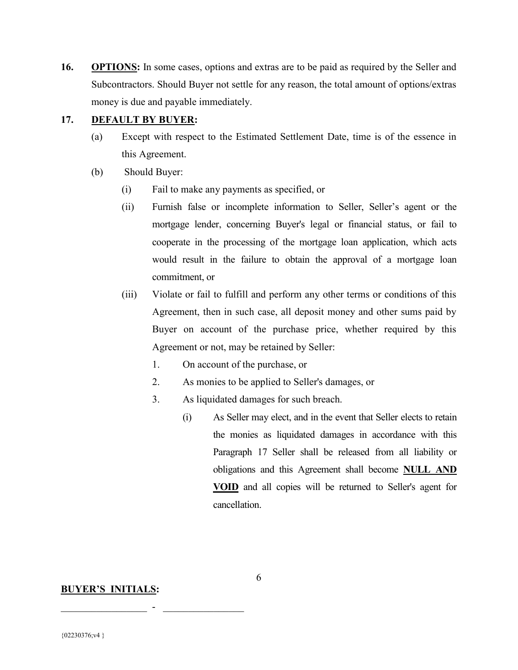16. OPTIONS: In some cases, options and extras are to be paid as required by the Seller and Subcontractors. Should Buyer not settle for any reason, the total amount of options/extras money is due and payable immediately.

#### 17. DEFAULT BY BUYER:

- (a) Except with respect to the Estimated Settlement Date, time is of the essence in this Agreement.
- (b) Should Buyer:
	- (i) Fail to make any payments as specified, or
	- (ii) Furnish false or incomplete information to Seller, Seller's agent or the mortgage lender, concerning Buyer's legal or financial status, or fail to cooperate in the processing of the mortgage loan application, which acts would result in the failure to obtain the approval of a mortgage loan commitment, or
	- (iii) Violate or fail to fulfill and perform any other terms or conditions of this Agreement, then in such case, all deposit money and other sums paid by Buyer on account of the purchase price, whether required by this Agreement or not, may be retained by Seller:
		- 1. On account of the purchase, or
		- 2. As monies to be applied to Seller's damages, or
		- 3. As liquidated damages for such breach.
			- (i) As Seller may elect, and in the event that Seller elects to retain the monies as liquidated damages in accordance with this Paragraph 17 Seller shall be released from all liability or obligations and this Agreement shall become NULL AND VOID and all copies will be returned to Seller's agent for cancellation.

#### BUYER'S INITIALS:

 $\mathcal{L}_\text{max}$  , and the set of the set of the set of the set of the set of the set of the set of the set of the set of the set of the set of the set of the set of the set of the set of the set of the set of the set of the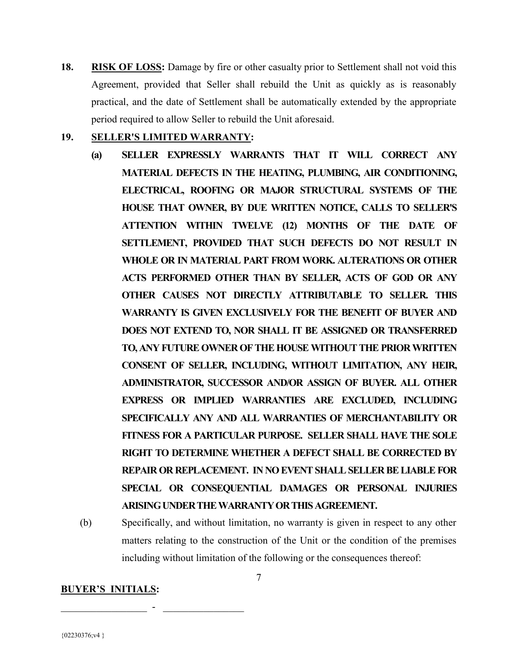18. RISK OF LOSS: Damage by fire or other casualty prior to Settlement shall not void this Agreement, provided that Seller shall rebuild the Unit as quickly as is reasonably practical, and the date of Settlement shall be automatically extended by the appropriate period required to allow Seller to rebuild the Unit aforesaid.

#### 19. SELLER'S LIMITED WARRANTY:

- (a) SELLER EXPRESSLY WARRANTS THAT IT WILL CORRECT ANY MATERIAL DEFECTS IN THE HEATING, PLUMBING, AIR CONDITIONING, ELECTRICAL, ROOFING OR MAJOR STRUCTURAL SYSTEMS OF THE HOUSE THAT OWNER, BY DUE WRITTEN NOTICE, CALLS TO SELLER'S ATTENTION WITHIN TWELVE (12) MONTHS OF THE DATE OF SETTLEMENT, PROVIDED THAT SUCH DEFECTS DO NOT RESULT IN WHOLE OR IN MATERIAL PART FROM WORK. ALTERATIONS OR OTHER ACTS PERFORMED OTHER THAN BY SELLER, ACTS OF GOD OR ANY OTHER CAUSES NOT DIRECTLY ATTRIBUTABLE TO SELLER. THIS WARRANTY IS GIVEN EXCLUSIVELY FOR THE BENEFIT OF BUYER AND DOES NOT EXTEND TO, NOR SHALL IT BE ASSIGNED OR TRANSFERRED TO, ANY FUTURE OWNER OF THE HOUSE WITHOUT THE PRIOR WRITTEN CONSENT OF SELLER, INCLUDING, WITHOUT LIMITATION, ANY HEIR, ADMINISTRATOR, SUCCESSOR AND/OR ASSIGN OF BUYER. ALL OTHER EXPRESS OR IMPLIED WARRANTIES ARE EXCLUDED, INCLUDING SPECIFICALLY ANY AND ALL WARRANTIES OF MERCHANTABILITY OR FITNESS FOR A PARTICULAR PURPOSE. SELLER SHALL HAVE THE SOLE RIGHT TO DETERMINE WHETHER A DEFECT SHALL BE CORRECTED BY REPAIR OR REPLACEMENT. IN NO EVENT SHALL SELLER BE LIABLE FOR SPECIAL OR CONSEQUENTIAL DAMAGES OR PERSONAL INJURIES ARISING UNDER THE WARRANTY OR THIS AGREEMENT.
- (b) Specifically, and without limitation, no warranty is given in respect to any other matters relating to the construction of the Unit or the condition of the premises including without limitation of the following or the consequences thereof:

#### BUYER'S INITIALS: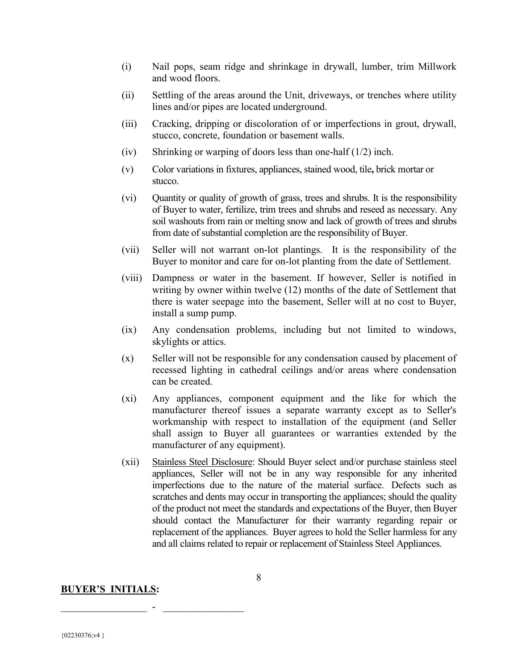- (i) Nail pops, seam ridge and shrinkage in drywall, lumber, trim Millwork and wood floors.
- (ii) Settling of the areas around the Unit, driveways, or trenches where utility lines and/or pipes are located underground.
- (iii) Cracking, dripping or discoloration of or imperfections in grout, drywall, stucco, concrete, foundation or basement walls.
- (iv) Shrinking or warping of doors less than one-half (1/2) inch.
- (v) Color variations in fixtures, appliances, stained wood, tile, brick mortar or stucco.
- (vi) Quantity or quality of growth of grass, trees and shrubs. It is the responsibility of Buyer to water, fertilize, trim trees and shrubs and reseed as necessary. Any soil washouts from rain or melting snow and lack of growth of trees and shrubs from date of substantial completion are the responsibility of Buyer.
- (vii) Seller will not warrant on-lot plantings. It is the responsibility of the Buyer to monitor and care for on-lot planting from the date of Settlement.
- (viii) Dampness or water in the basement. If however, Seller is notified in writing by owner within twelve (12) months of the date of Settlement that there is water seepage into the basement, Seller will at no cost to Buyer, install a sump pump.
- (ix) Any condensation problems, including but not limited to windows, skylights or attics.
- (x) Seller will not be responsible for any condensation caused by placement of recessed lighting in cathedral ceilings and/or areas where condensation can be created.
- (xi) Any appliances, component equipment and the like for which the manufacturer thereof issues a separate warranty except as to Seller's workmanship with respect to installation of the equipment (and Seller shall assign to Buyer all guarantees or warranties extended by the manufacturer of any equipment).
- (xii) Stainless Steel Disclosure: Should Buyer select and/or purchase stainless steel appliances, Seller will not be in any way responsible for any inherited imperfections due to the nature of the material surface. Defects such as scratches and dents may occur in transporting the appliances; should the quality of the product not meet the standards and expectations of the Buyer, then Buyer should contact the Manufacturer for their warranty regarding repair or replacement of the appliances. Buyer agrees to hold the Seller harmless for any and all claims related to repair or replacement of Stainless Steel Appliances.

#### BUYER'S INITIALS: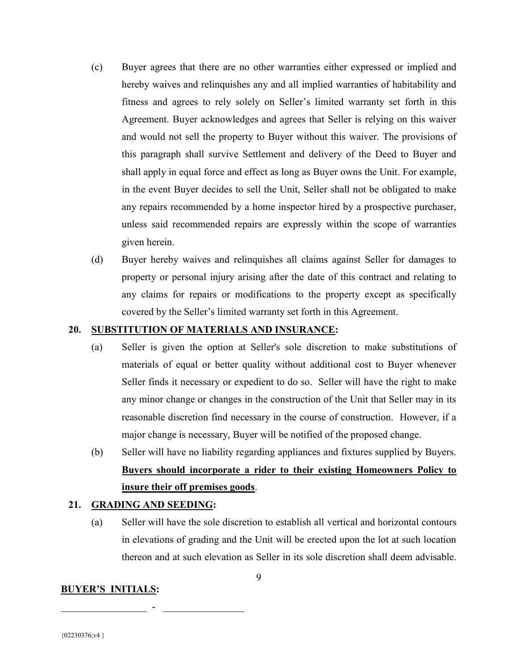- (c) Buyer agrees that there are no other warranties either expressed or implied and hereby waives and relinquishes any and all implied warranties of habitability and fitness and agrees to rely solely on Seller's limited warranty set forth in this Agreement. Buyer acknowledges and agrees that Seller is relying on this waiver and would not sell the property to Buyer without this waiver. The provisions of this paragraph shall survive Settlement and delivery of the Deed to Buyer and shall apply in equal force and effect as long as Buyer owns the Unit. For example, in the event Buyer decides to sell the Unit, Seller shall not be obligated to make any repairs recommended by a home inspector hired by a prospective purchaser, unless said recommended repairs are expressly within the scope of warranties given herein.
- (d) Buyer hereby waives and relinquishes all claims against Seller for damages to property or personal injury arising after the date of this contract and relating to any claims for repairs or modifications to the property except as specifically covered by the Seller's limited warranty set forth in this Agreement.

#### 20. SUBSTITUTION OF MATERIALS AND INSURANCE:

- (a) Seller is given the option at Seller's sole discretion to make substitutions of materials of equal or better quality without additional cost to Buyer whenever Seller finds it necessary or expedient to do so. Seller will have the right to make any minor change or changes in the construction of the Unit that Seller may in its reasonable discretion find necessary in the course of construction. However, if a major change is necessary, Buyer will be notified of the proposed change.
- (b) Seller will have no liability regarding appliances and fixtures supplied by Buyers. Buyers should incorporate a rider to their existing Homeowners Policy to insure their off premises goods.

#### 21. GRADING AND SEEDING:

 $\mathcal{L}_\text{max}$  , and the set of the set of the set of the set of the set of the set of the set of the set of the set of the set of the set of the set of the set of the set of the set of the set of the set of the set of the

(a) Seller will have the sole discretion to establish all vertical and horizontal contours in elevations of grading and the Unit will be erected upon the lot at such location thereon and at such elevation as Seller in its sole discretion shall deem advisable.

#### BUYER'S INITIALS: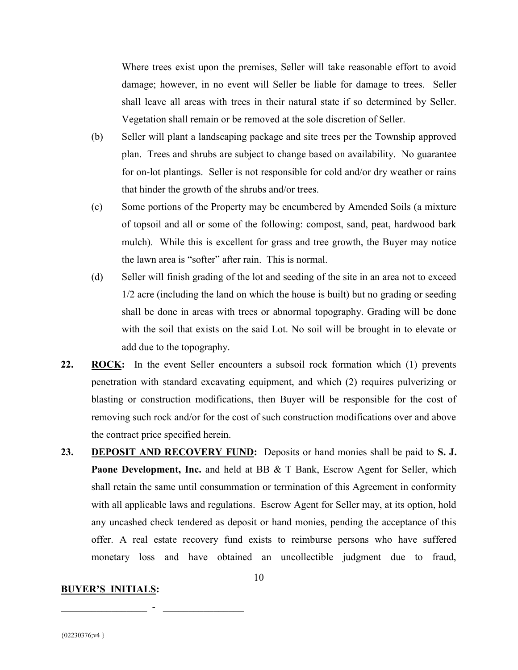Where trees exist upon the premises, Seller will take reasonable effort to avoid damage; however, in no event will Seller be liable for damage to trees. Seller shall leave all areas with trees in their natural state if so determined by Seller. Vegetation shall remain or be removed at the sole discretion of Seller.

- (b) Seller will plant a landscaping package and site trees per the Township approved plan. Trees and shrubs are subject to change based on availability. No guarantee for on-lot plantings. Seller is not responsible for cold and/or dry weather or rains that hinder the growth of the shrubs and/or trees.
- (c) Some portions of the Property may be encumbered by Amended Soils (a mixture of topsoil and all or some of the following: compost, sand, peat, hardwood bark mulch). While this is excellent for grass and tree growth, the Buyer may notice the lawn area is "softer" after rain. This is normal.
- (d) Seller will finish grading of the lot and seeding of the site in an area not to exceed 1/2 acre (including the land on which the house is built) but no grading or seeding shall be done in areas with trees or abnormal topography. Grading will be done with the soil that exists on the said Lot. No soil will be brought in to elevate or add due to the topography.
- 22. ROCK: In the event Seller encounters a subsoil rock formation which (1) prevents penetration with standard excavating equipment, and which (2) requires pulverizing or blasting or construction modifications, then Buyer will be responsible for the cost of removing such rock and/or for the cost of such construction modifications over and above the contract price specified herein.
- 23. DEPOSIT AND RECOVERY FUND: Deposits or hand monies shall be paid to S. J. Paone Development, Inc. and held at BB & T Bank, Escrow Agent for Seller, which shall retain the same until consummation or termination of this Agreement in conformity with all applicable laws and regulations. Escrow Agent for Seller may, at its option, hold any uncashed check tendered as deposit or hand monies, pending the acceptance of this offer. A real estate recovery fund exists to reimburse persons who have suffered monetary loss and have obtained an uncollectible judgment due to fraud,

#### BUYER'S INITIALS: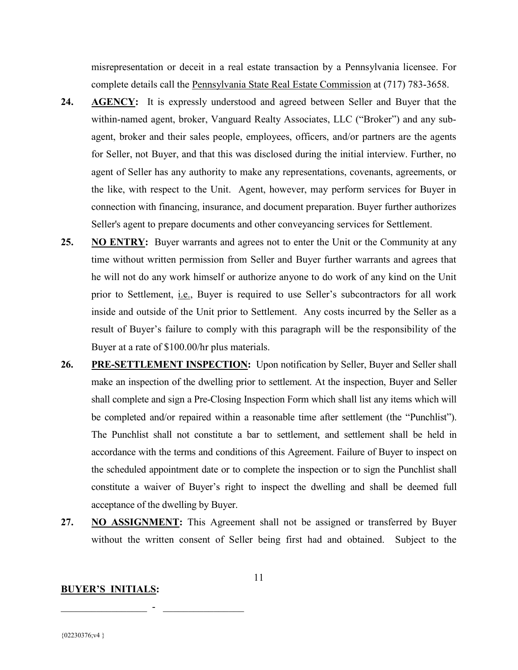misrepresentation or deceit in a real estate transaction by a Pennsylvania licensee. For complete details call the Pennsylvania State Real Estate Commission at (717) 783-3658.

- 24. AGENCY: It is expressly understood and agreed between Seller and Buyer that the within-named agent, broker, Vanguard Realty Associates, LLC ("Broker") and any subagent, broker and their sales people, employees, officers, and/or partners are the agents for Seller, not Buyer, and that this was disclosed during the initial interview. Further, no agent of Seller has any authority to make any representations, covenants, agreements, or the like, with respect to the Unit. Agent, however, may perform services for Buyer in connection with financing, insurance, and document preparation. Buyer further authorizes Seller's agent to prepare documents and other conveyancing services for Settlement.
- 25. NO ENTRY: Buyer warrants and agrees not to enter the Unit or the Community at any time without written permission from Seller and Buyer further warrants and agrees that he will not do any work himself or authorize anyone to do work of any kind on the Unit prior to Settlement, i.e., Buyer is required to use Seller's subcontractors for all work inside and outside of the Unit prior to Settlement. Any costs incurred by the Seller as a result of Buyer's failure to comply with this paragraph will be the responsibility of the Buyer at a rate of \$100.00/hr plus materials.
- 26. PRE-SETTLEMENT INSPECTION: Upon notification by Seller, Buyer and Seller shall make an inspection of the dwelling prior to settlement. At the inspection, Buyer and Seller shall complete and sign a Pre-Closing Inspection Form which shall list any items which will be completed and/or repaired within a reasonable time after settlement (the "Punchlist"). The Punchlist shall not constitute a bar to settlement, and settlement shall be held in accordance with the terms and conditions of this Agreement. Failure of Buyer to inspect on the scheduled appointment date or to complete the inspection or to sign the Punchlist shall constitute a waiver of Buyer's right to inspect the dwelling and shall be deemed full acceptance of the dwelling by Buyer.
- 27. NO ASSIGNMENT: This Agreement shall not be assigned or transferred by Buyer without the written consent of Seller being first had and obtained. Subject to the

#### BUYER'S INITIALS:

 $\mathcal{L}_\text{max}$  , and the set of the set of the set of the set of the set of the set of the set of the set of the set of the set of the set of the set of the set of the set of the set of the set of the set of the set of the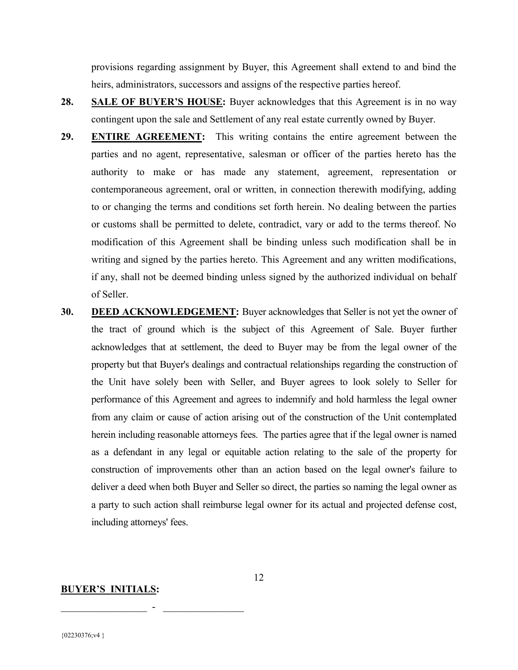provisions regarding assignment by Buyer, this Agreement shall extend to and bind the heirs, administrators, successors and assigns of the respective parties hereof.

- 28. SALE OF BUYER'S HOUSE: Buyer acknowledges that this Agreement is in no way contingent upon the sale and Settlement of any real estate currently owned by Buyer.
- 29. **ENTIRE AGREEMENT:** This writing contains the entire agreement between the parties and no agent, representative, salesman or officer of the parties hereto has the authority to make or has made any statement, agreement, representation or contemporaneous agreement, oral or written, in connection therewith modifying, adding to or changing the terms and conditions set forth herein. No dealing between the parties or customs shall be permitted to delete, contradict, vary or add to the terms thereof. No modification of this Agreement shall be binding unless such modification shall be in writing and signed by the parties hereto. This Agreement and any written modifications, if any, shall not be deemed binding unless signed by the authorized individual on behalf of Seller.
- 30. DEED ACKNOWLEDGEMENT: Buyer acknowledges that Seller is not yet the owner of the tract of ground which is the subject of this Agreement of Sale. Buyer further acknowledges that at settlement, the deed to Buyer may be from the legal owner of the property but that Buyer's dealings and contractual relationships regarding the construction of the Unit have solely been with Seller, and Buyer agrees to look solely to Seller for performance of this Agreement and agrees to indemnify and hold harmless the legal owner from any claim or cause of action arising out of the construction of the Unit contemplated herein including reasonable attorneys fees. The parties agree that if the legal owner is named as a defendant in any legal or equitable action relating to the sale of the property for construction of improvements other than an action based on the legal owner's failure to deliver a deed when both Buyer and Seller so direct, the parties so naming the legal owner as a party to such action shall reimburse legal owner for its actual and projected defense cost, including attorneys' fees.

#### BUYER'S INITIALS:

 $\mathcal{L}_\text{max}$  , and the set of the set of the set of the set of the set of the set of the set of the set of the set of the set of the set of the set of the set of the set of the set of the set of the set of the set of the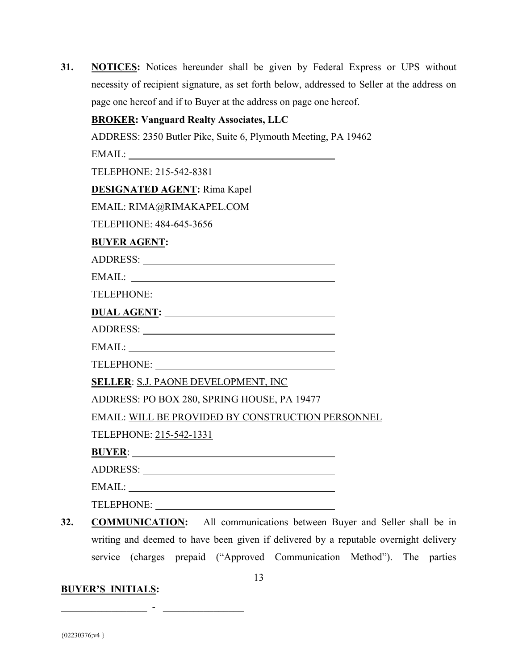| 31. | <b>NOTICES:</b> Notices hereunder shall be given by Federal Express or UPS without          |
|-----|---------------------------------------------------------------------------------------------|
|     | necessity of recipient signature, as set forth below, addressed to Seller at the address on |
|     | page one hereof and if to Buyer at the address on page one hereof.                          |

|                         | <b>BROKER: Vanguard Realty Associates, LLC</b>                 |  |
|-------------------------|----------------------------------------------------------------|--|
|                         | ADDRESS: 2350 Butler Pike, Suite 6, Plymouth Meeting, PA 19462 |  |
|                         |                                                                |  |
| TELEPHONE: 215-542-8381 |                                                                |  |
|                         | <b>DESIGNATED AGENT:</b> Rima Kapel                            |  |
|                         | EMAIL: RIMA@RIMAKAPEL.COM                                      |  |
| TELEPHONE: 484-645-3656 |                                                                |  |
| <b>BUYER AGENT:</b>     |                                                                |  |
|                         |                                                                |  |
|                         | EMAIL:                                                         |  |
|                         |                                                                |  |
|                         | DUAL AGENT:                                                    |  |
|                         |                                                                |  |
|                         |                                                                |  |
|                         | TELEPHONE:                                                     |  |
|                         | <b>SELLER: S.J. PAONE DEVELOPMENT, INC</b>                     |  |
|                         | ADDRESS: PO BOX 280, SPRING HOUSE, PA 19477                    |  |
|                         | <b>EMAIL: WILL BE PROVIDED BY CONSTRUCTION PERSONNEL</b>       |  |
| TELEPHONE: 215-542-1331 |                                                                |  |
|                         |                                                                |  |
|                         |                                                                |  |
|                         |                                                                |  |

32. COMMUNICATION: All communications between Buyer and Seller shall be in writing and deemed to have been given if delivered by a reputable overnight delivery service (charges prepaid ("Approved Communication Method"). The parties

### BUYER'S INITIALS:

 $\bot$  , and all the set of the set of the set of the set of the set of the set of the set of the set of the set of the set of the set of the set of the set of the set of the set of the set of the set of the set of the set

TELEPHONE: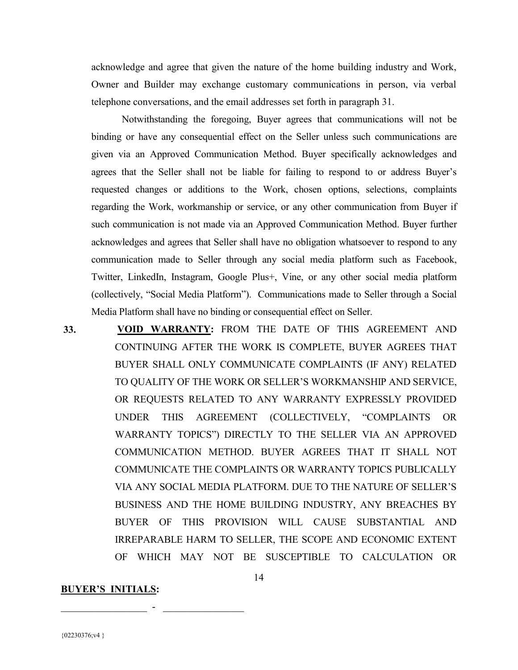acknowledge and agree that given the nature of the home building industry and Work, Owner and Builder may exchange customary communications in person, via verbal telephone conversations, and the email addresses set forth in paragraph 31.

 Notwithstanding the foregoing, Buyer agrees that communications will not be binding or have any consequential effect on the Seller unless such communications are given via an Approved Communication Method. Buyer specifically acknowledges and agrees that the Seller shall not be liable for failing to respond to or address Buyer's requested changes or additions to the Work, chosen options, selections, complaints regarding the Work, workmanship or service, or any other communication from Buyer if such communication is not made via an Approved Communication Method. Buyer further acknowledges and agrees that Seller shall have no obligation whatsoever to respond to any communication made to Seller through any social media platform such as Facebook, Twitter, LinkedIn, Instagram, Google Plus+, Vine, or any other social media platform (collectively, "Social Media Platform"). Communications made to Seller through a Social Media Platform shall have no binding or consequential effect on Seller.

 33. VOID WARRANTY: FROM THE DATE OF THIS AGREEMENT AND CONTINUING AFTER THE WORK IS COMPLETE, BUYER AGREES THAT BUYER SHALL ONLY COMMUNICATE COMPLAINTS (IF ANY) RELATED TO QUALITY OF THE WORK OR SELLER'S WORKMANSHIP AND SERVICE, OR REQUESTS RELATED TO ANY WARRANTY EXPRESSLY PROVIDED UNDER THIS AGREEMENT (COLLECTIVELY, "COMPLAINTS OR WARRANTY TOPICS") DIRECTLY TO THE SELLER VIA AN APPROVED COMMUNICATION METHOD. BUYER AGREES THAT IT SHALL NOT COMMUNICATE THE COMPLAINTS OR WARRANTY TOPICS PUBLICALLY VIA ANY SOCIAL MEDIA PLATFORM. DUE TO THE NATURE OF SELLER'S BUSINESS AND THE HOME BUILDING INDUSTRY, ANY BREACHES BY BUYER OF THIS PROVISION WILL CAUSE SUBSTANTIAL AND IRREPARABLE HARM TO SELLER, THE SCOPE AND ECONOMIC EXTENT OF WHICH MAY NOT BE SUSCEPTIBLE TO CALCULATION OR

14

#### BUYER'S INITIALS: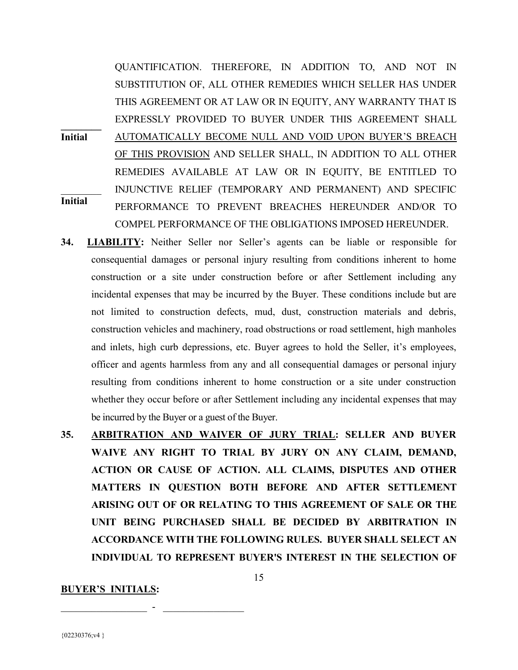$\frac{1}{2}$ Initial Initial QUANTIFICATION. THEREFORE, IN ADDITION TO, AND NOT IN SUBSTITUTION OF, ALL OTHER REMEDIES WHICH SELLER HAS UNDER THIS AGREEMENT OR AT LAW OR IN EQUITY, ANY WARRANTY THAT IS EXPRESSLY PROVIDED TO BUYER UNDER THIS AGREEMENT SHALL AUTOMATICALLY BECOME NULL AND VOID UPON BUYER'S BREACH OF THIS PROVISION AND SELLER SHALL, IN ADDITION TO ALL OTHER REMEDIES AVAILABLE AT LAW OR IN EQUITY, BE ENTITLED TO INJUNCTIVE RELIEF (TEMPORARY AND PERMANENT) AND SPECIFIC PERFORMANCE TO PREVENT BREACHES HEREUNDER AND/OR TO COMPEL PERFORMANCE OF THE OBLIGATIONS IMPOSED HEREUNDER.

- 34. LIABILITY: Neither Seller nor Seller's agents can be liable or responsible for consequential damages or personal injury resulting from conditions inherent to home construction or a site under construction before or after Settlement including any incidental expenses that may be incurred by the Buyer. These conditions include but are not limited to construction defects, mud, dust, construction materials and debris, construction vehicles and machinery, road obstructions or road settlement, high manholes and inlets, high curb depressions, etc. Buyer agrees to hold the Seller, it's employees, officer and agents harmless from any and all consequential damages or personal injury resulting from conditions inherent to home construction or a site under construction whether they occur before or after Settlement including any incidental expenses that may be incurred by the Buyer or a guest of the Buyer.
- 35. ARBITRATION AND WAIVER OF JURY TRIAL: SELLER AND BUYER WAIVE ANY RIGHT TO TRIAL BY JURY ON ANY CLAIM, DEMAND, ACTION OR CAUSE OF ACTION. ALL CLAIMS, DISPUTES AND OTHER MATTERS IN QUESTION BOTH BEFORE AND AFTER SETTLEMENT ARISING OUT OF OR RELATING TO THIS AGREEMENT OF SALE OR THE UNIT BEING PURCHASED SHALL BE DECIDED BY ARBITRATION IN ACCORDANCE WITH THE FOLLOWING RULES. BUYER SHALL SELECT AN INDIVIDUAL TO REPRESENT BUYER'S INTEREST IN THE SELECTION OF

15

#### BUYER'S INITIALS: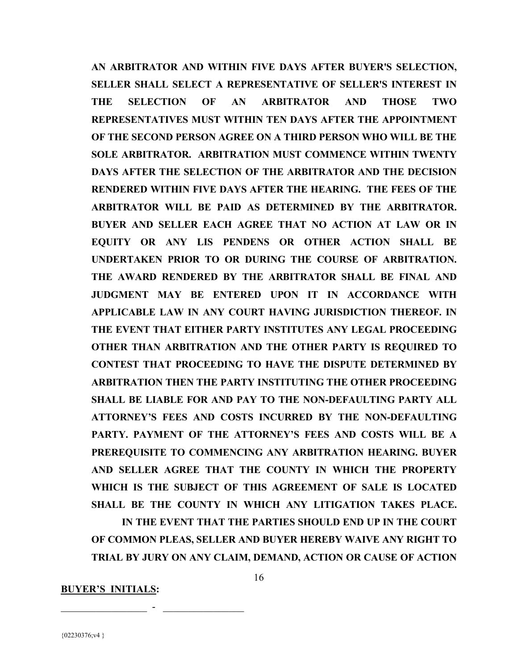AN ARBITRATOR AND WITHIN FIVE DAYS AFTER BUYER'S SELECTION, SELLER SHALL SELECT A REPRESENTATIVE OF SELLER'S INTEREST IN THE SELECTION OF AN ARBITRATOR AND THOSE TWO REPRESENTATIVES MUST WITHIN TEN DAYS AFTER THE APPOINTMENT OF THE SECOND PERSON AGREE ON A THIRD PERSON WHO WILL BE THE SOLE ARBITRATOR. ARBITRATION MUST COMMENCE WITHIN TWENTY DAYS AFTER THE SELECTION OF THE ARBITRATOR AND THE DECISION RENDERED WITHIN FIVE DAYS AFTER THE HEARING. THE FEES OF THE ARBITRATOR WILL BE PAID AS DETERMINED BY THE ARBITRATOR. BUYER AND SELLER EACH AGREE THAT NO ACTION AT LAW OR IN EQUITY OR ANY LIS PENDENS OR OTHER ACTION SHALL BE UNDERTAKEN PRIOR TO OR DURING THE COURSE OF ARBITRATION. THE AWARD RENDERED BY THE ARBITRATOR SHALL BE FINAL AND JUDGMENT MAY BE ENTERED UPON IT IN ACCORDANCE WITH APPLICABLE LAW IN ANY COURT HAVING JURISDICTION THEREOF. IN THE EVENT THAT EITHER PARTY INSTITUTES ANY LEGAL PROCEEDING OTHER THAN ARBITRATION AND THE OTHER PARTY IS REQUIRED TO CONTEST THAT PROCEEDING TO HAVE THE DISPUTE DETERMINED BY ARBITRATION THEN THE PARTY INSTITUTING THE OTHER PROCEEDING SHALL BE LIABLE FOR AND PAY TO THE NON-DEFAULTING PARTY ALL ATTORNEY'S FEES AND COSTS INCURRED BY THE NON-DEFAULTING PARTY. PAYMENT OF THE ATTORNEY'S FEES AND COSTS WILL BE A PREREQUISITE TO COMMENCING ANY ARBITRATION HEARING. BUYER AND SELLER AGREE THAT THE COUNTY IN WHICH THE PROPERTY WHICH IS THE SUBJECT OF THIS AGREEMENT OF SALE IS LOCATED SHALL BE THE COUNTY IN WHICH ANY LITIGATION TAKES PLACE.

 IN THE EVENT THAT THE PARTIES SHOULD END UP IN THE COURT OF COMMON PLEAS, SELLER AND BUYER HEREBY WAIVE ANY RIGHT TO TRIAL BY JURY ON ANY CLAIM, DEMAND, ACTION OR CAUSE OF ACTION

BUYER'S INITIALS: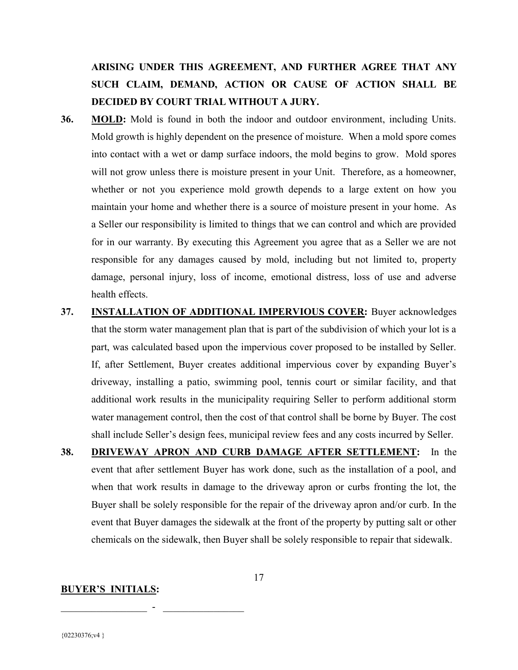ARISING UNDER THIS AGREEMENT, AND FURTHER AGREE THAT ANY SUCH CLAIM, DEMAND, ACTION OR CAUSE OF ACTION SHALL BE DECIDED BY COURT TRIAL WITHOUT A JURY.

- 36. MOLD: Mold is found in both the indoor and outdoor environment, including Units. Mold growth is highly dependent on the presence of moisture. When a mold spore comes into contact with a wet or damp surface indoors, the mold begins to grow. Mold spores will not grow unless there is moisture present in your Unit. Therefore, as a homeowner, whether or not you experience mold growth depends to a large extent on how you maintain your home and whether there is a source of moisture present in your home. As a Seller our responsibility is limited to things that we can control and which are provided for in our warranty. By executing this Agreement you agree that as a Seller we are not responsible for any damages caused by mold, including but not limited to, property damage, personal injury, loss of income, emotional distress, loss of use and adverse health effects.
- 37. INSTALLATION OF ADDITIONAL IMPERVIOUS COVER: Buyer acknowledges that the storm water management plan that is part of the subdivision of which your lot is a part, was calculated based upon the impervious cover proposed to be installed by Seller. If, after Settlement, Buyer creates additional impervious cover by expanding Buyer's driveway, installing a patio, swimming pool, tennis court or similar facility, and that additional work results in the municipality requiring Seller to perform additional storm water management control, then the cost of that control shall be borne by Buyer. The cost shall include Seller's design fees, municipal review fees and any costs incurred by Seller.
- 38. DRIVEWAY APRON AND CURB DAMAGE AFTER SETTLEMENT: In the event that after settlement Buyer has work done, such as the installation of a pool, and when that work results in damage to the driveway apron or curbs fronting the lot, the Buyer shall be solely responsible for the repair of the driveway apron and/or curb. In the event that Buyer damages the sidewalk at the front of the property by putting salt or other chemicals on the sidewalk, then Buyer shall be solely responsible to repair that sidewalk.

#### BUYER'S INITIALS:

 $\mathcal{L}_\text{max}$  , and the set of the set of the set of the set of the set of the set of the set of the set of the set of the set of the set of the set of the set of the set of the set of the set of the set of the set of the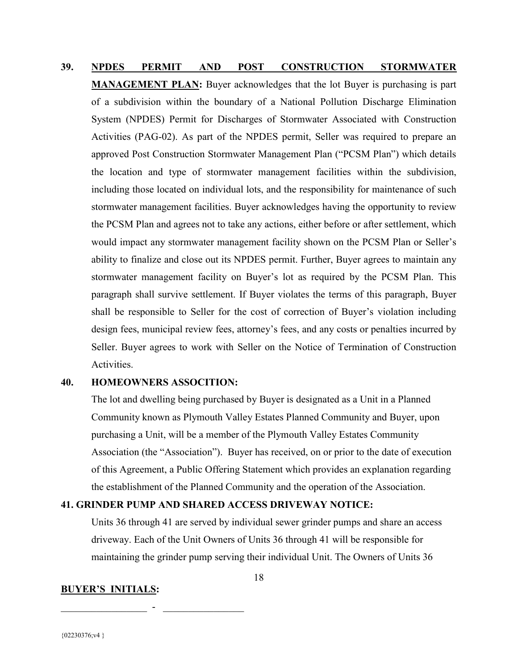# 39. NPDES PERMIT AND POST CONSTRUCTION STORMWATER MANAGEMENT PLAN: Buyer acknowledges that the lot Buyer is purchasing is part of a subdivision within the boundary of a National Pollution Discharge Elimination System (NPDES) Permit for Discharges of Stormwater Associated with Construction Activities (PAG-02). As part of the NPDES permit, Seller was required to prepare an approved Post Construction Stormwater Management Plan ("PCSM Plan") which details the location and type of stormwater management facilities within the subdivision, including those located on individual lots, and the responsibility for maintenance of such stormwater management facilities. Buyer acknowledges having the opportunity to review the PCSM Plan and agrees not to take any actions, either before or after settlement, which would impact any stormwater management facility shown on the PCSM Plan or Seller's ability to finalize and close out its NPDES permit. Further, Buyer agrees to maintain any stormwater management facility on Buyer's lot as required by the PCSM Plan. This paragraph shall survive settlement. If Buyer violates the terms of this paragraph, Buyer shall be responsible to Seller for the cost of correction of Buyer's violation including design fees, municipal review fees, attorney's fees, and any costs or penalties incurred by Seller. Buyer agrees to work with Seller on the Notice of Termination of Construction Activities.

#### 40. HOMEOWNERS ASSOCITION:

The lot and dwelling being purchased by Buyer is designated as a Unit in a Planned Community known as Plymouth Valley Estates Planned Community and Buyer, upon purchasing a Unit, will be a member of the Plymouth Valley Estates Community Association (the "Association"). Buyer has received, on or prior to the date of execution of this Agreement, a Public Offering Statement which provides an explanation regarding the establishment of the Planned Community and the operation of the Association.

#### 41. GRINDER PUMP AND SHARED ACCESS DRIVEWAY NOTICE:

Units 36 through 41 are served by individual sewer grinder pumps and share an access driveway. Each of the Unit Owners of Units 36 through 41 will be responsible for maintaining the grinder pump serving their individual Unit. The Owners of Units 36

#### BUYER'S INITIALS:

 $\mathcal{L}_\text{max}$  , and the set of the set of the set of the set of the set of the set of the set of the set of the set of the set of the set of the set of the set of the set of the set of the set of the set of the set of the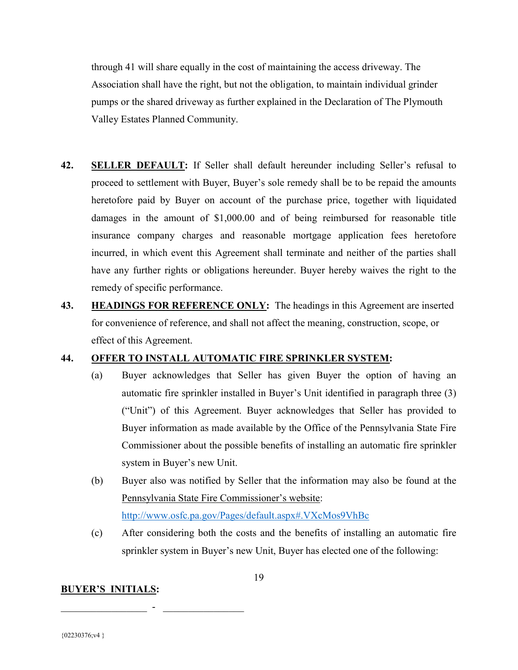through 41 will share equally in the cost of maintaining the access driveway. The Association shall have the right, but not the obligation, to maintain individual grinder pumps or the shared driveway as further explained in the Declaration of The Plymouth Valley Estates Planned Community.

- 42. SELLER DEFAULT: If Seller shall default hereunder including Seller's refusal to proceed to settlement with Buyer, Buyer's sole remedy shall be to be repaid the amounts heretofore paid by Buyer on account of the purchase price, together with liquidated damages in the amount of \$1,000.00 and of being reimbursed for reasonable title insurance company charges and reasonable mortgage application fees heretofore incurred, in which event this Agreement shall terminate and neither of the parties shall have any further rights or obligations hereunder. Buyer hereby waives the right to the remedy of specific performance.
- 43. **HEADINGS FOR REFERENCE ONLY:** The headings in this Agreement are inserted for convenience of reference, and shall not affect the meaning, construction, scope, or effect of this Agreement.

#### 44. OFFER TO INSTALL AUTOMATIC FIRE SPRINKLER SYSTEM:

- (a) Buyer acknowledges that Seller has given Buyer the option of having an automatic fire sprinkler installed in Buyer's Unit identified in paragraph three (3) ("Unit") of this Agreement. Buyer acknowledges that Seller has provided to Buyer information as made available by the Office of the Pennsylvania State Fire Commissioner about the possible benefits of installing an automatic fire sprinkler system in Buyer's new Unit.
- (b) Buyer also was notified by Seller that the information may also be found at the Pennsylvania State Fire Commissioner's website: http://www.osfc.pa.gov/Pages/default.aspx#.VXcMos9VhBc
- (c) After considering both the costs and the benefits of installing an automatic fire sprinkler system in Buyer's new Unit, Buyer has elected one of the following:

#### BUYER'S INITIALS: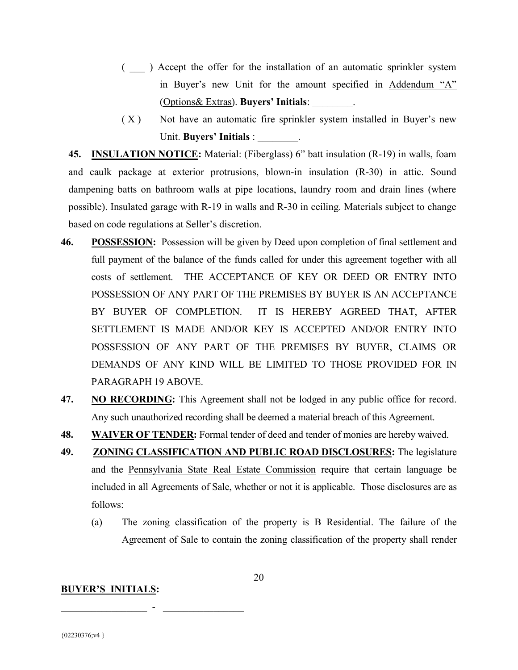- ( \_\_\_ ) Accept the offer for the installation of an automatic sprinkler system in Buyer's new Unit for the amount specified in Addendum "A" (Options& Extras). Buyers' Initials: \_\_\_\_\_\_\_\_.
- $(X)$  Not have an automatic fire sprinkler system installed in Buyer's new Unit. Buyers' Initials :  $\qquad \qquad$

45. INSULATION NOTICE: Material: (Fiberglass) 6" batt insulation (R-19) in walls, foam and caulk package at exterior protrusions, blown-in insulation (R-30) in attic. Sound dampening batts on bathroom walls at pipe locations, laundry room and drain lines (where possible). Insulated garage with R-19 in walls and R-30 in ceiling. Materials subject to change based on code regulations at Seller's discretion.

- 46. POSSESSION: Possession will be given by Deed upon completion of final settlement and full payment of the balance of the funds called for under this agreement together with all costs of settlement. THE ACCEPTANCE OF KEY OR DEED OR ENTRY INTO POSSESSION OF ANY PART OF THE PREMISES BY BUYER IS AN ACCEPTANCE BY BUYER OF COMPLETION. IT IS HEREBY AGREED THAT, AFTER SETTLEMENT IS MADE AND/OR KEY IS ACCEPTED AND/OR ENTRY INTO POSSESSION OF ANY PART OF THE PREMISES BY BUYER, CLAIMS OR DEMANDS OF ANY KIND WILL BE LIMITED TO THOSE PROVIDED FOR IN PARAGRAPH 19 ABOVE.
- 47. NO RECORDING: This Agreement shall not be lodged in any public office for record. Any such unauthorized recording shall be deemed a material breach of this Agreement.
- 48. WAIVER OF TENDER: Formal tender of deed and tender of monies are hereby waived.
- 49. ZONING CLASSIFICATION AND PUBLIC ROAD DISCLOSURES: The legislature and the Pennsylvania State Real Estate Commission require that certain language be included in all Agreements of Sale, whether or not it is applicable. Those disclosures are as follows:
	- (a) The zoning classification of the property is B Residential. The failure of the Agreement of Sale to contain the zoning classification of the property shall render

#### BUYER'S INITIALS:

 $\mathcal{L}_\text{max}$  , and the set of the set of the set of the set of the set of the set of the set of the set of the set of the set of the set of the set of the set of the set of the set of the set of the set of the set of the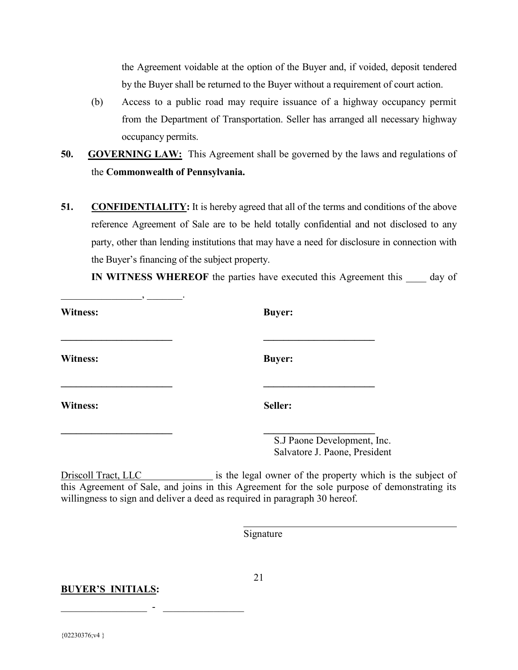the Agreement voidable at the option of the Buyer and, if voided, deposit tendered by the Buyer shall be returned to the Buyer without a requirement of court action.

- (b) Access to a public road may require issuance of a highway occupancy permit from the Department of Transportation. Seller has arranged all necessary highway occupancy permits.
- 50. GOVERNING LAW: This Agreement shall be governed by the laws and regulations of the Commonwealth of Pennsylvania.
- 51. CONFIDENTIALITY: It is hereby agreed that all of the terms and conditions of the above reference Agreement of Sale are to be held totally confidential and not disclosed to any party, other than lending institutions that may have a need for disclosure in connection with the Buyer's financing of the subject property.

IN WITNESS WHEREOF the parties have executed this Agreement this \_\_\_\_\_ day of

| <b>Witness:</b> | <b>Buyer:</b>                                                |
|-----------------|--------------------------------------------------------------|
| Witness:        | <b>Buyer:</b>                                                |
| <b>Witness:</b> | Seller:                                                      |
|                 | S.J Paone Development, Inc.<br>Salvatore J. Paone, President |

Driscoll Tract, LLC is the legal owner of the property which is the subject of this Agreement of Sale, and joins in this Agreement for the sole purpose of demonstrating its willingness to sign and deliver a deed as required in paragraph 30 hereof.

Signature

BUYER'S INITIALS:

 $\mathcal{L}_\text{max}$  , and the set of the set of the set of the set of the set of the set of the set of the set of the set of the set of the set of the set of the set of the set of the set of the set of the set of the set of the

\_\_\_\_\_\_\_\_\_\_\_\_\_\_\_\_, \_\_\_\_\_\_\_.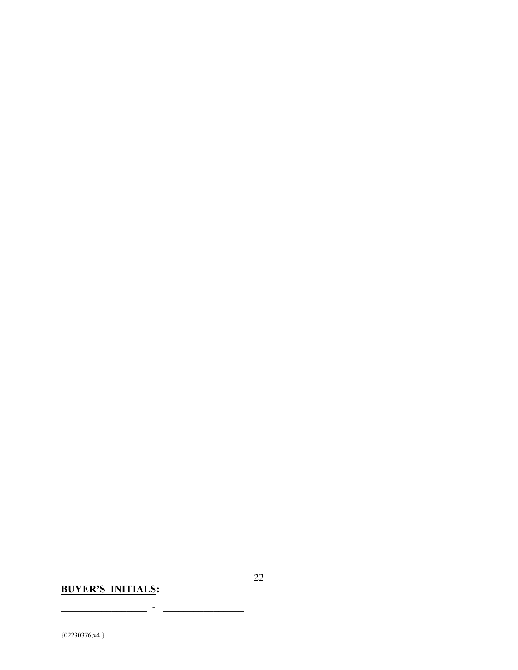## BUYER'S INITIALS:

 $\_$   $\_$   $\_$   $\_$   $\_$   $\_$   $\_$   $\_$   $\_$   $\_$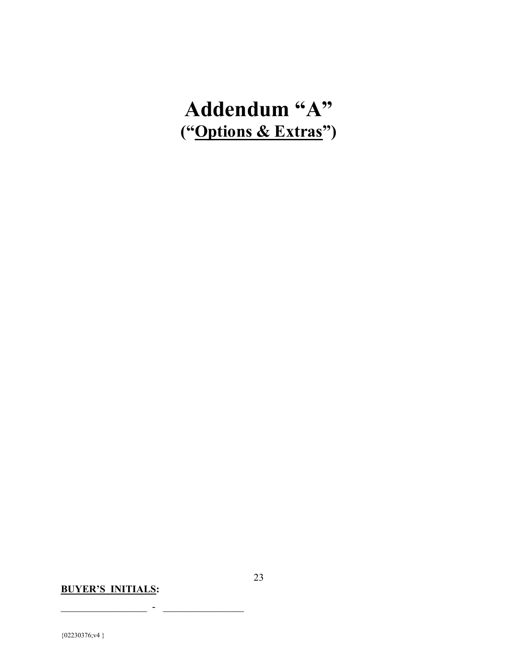# Addendum "A" ("Options & Extras")

## BUYER'S INITIALS:

 $\mathcal{L}_\text{max}$  , and the set of the set of the set of the set of the set of the set of the set of the set of the set of the set of the set of the set of the set of the set of the set of the set of the set of the set of the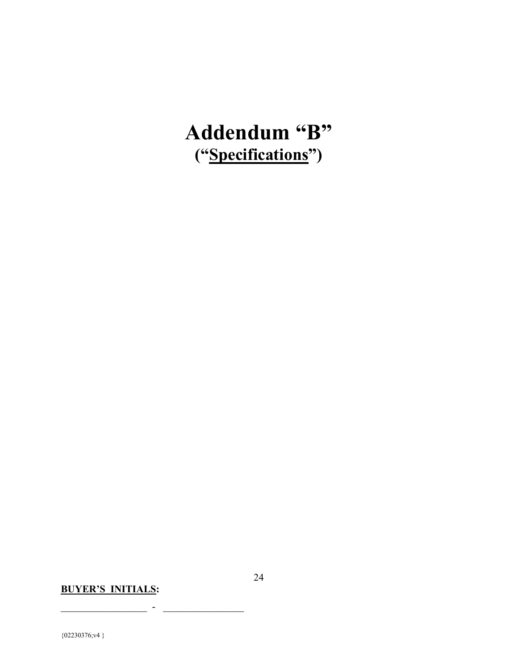# Addendum "B" ("Specifications")

## BUYER'S INITIALS:

 $\mathcal{L}_\text{max}$  , and the set of the set of the set of the set of the set of the set of the set of the set of the set of the set of the set of the set of the set of the set of the set of the set of the set of the set of the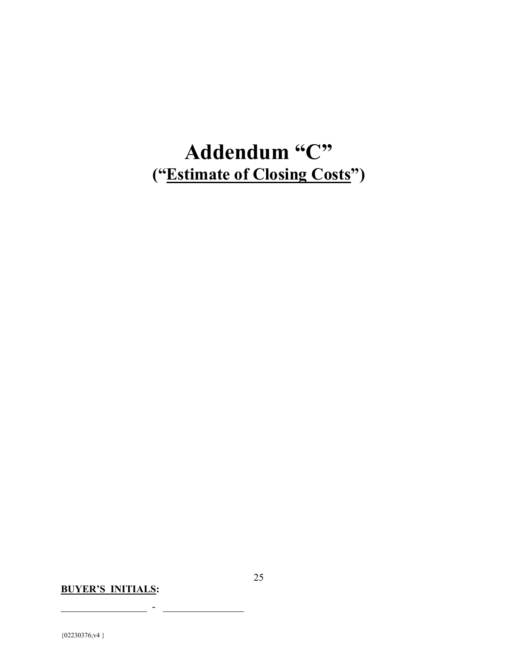# Addendum "C" ("Estimate of Closing Costs")

## BUYER'S INITIALS:

 $\mathcal{L}_\text{max}$  , and the set of the set of the set of the set of the set of the set of the set of the set of the set of the set of the set of the set of the set of the set of the set of the set of the set of the set of the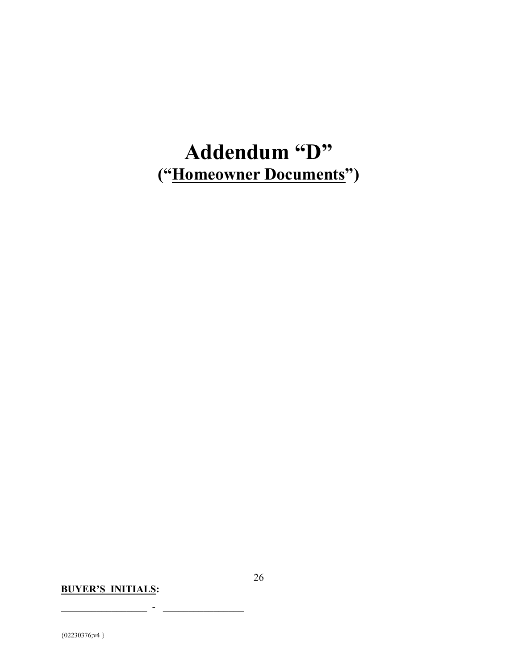# Addendum "D" ("Homeowner Documents")

## BUYER'S INITIALS:

 $\mathcal{L}_\text{max}$  , and the set of the set of the set of the set of the set of the set of the set of the set of the set of the set of the set of the set of the set of the set of the set of the set of the set of the set of the

 ${02230376; v4}$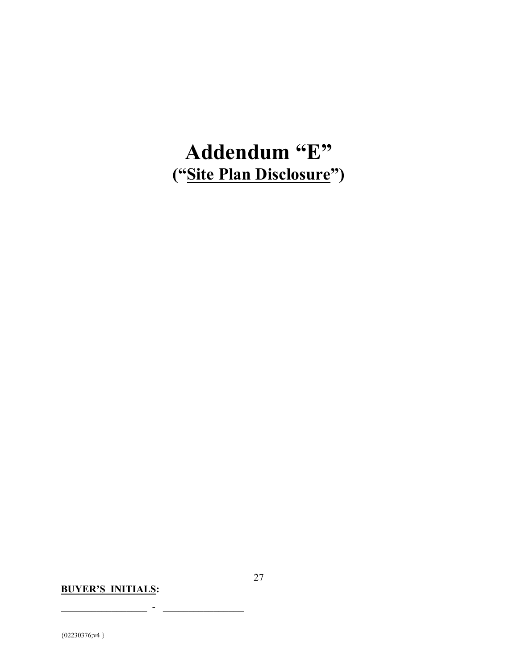# Addendum "E" ("Site Plan Disclosure")

## BUYER'S INITIALS:

 $\mathcal{L}_\text{max}$  , and the set of the set of the set of the set of the set of the set of the set of the set of the set of the set of the set of the set of the set of the set of the set of the set of the set of the set of the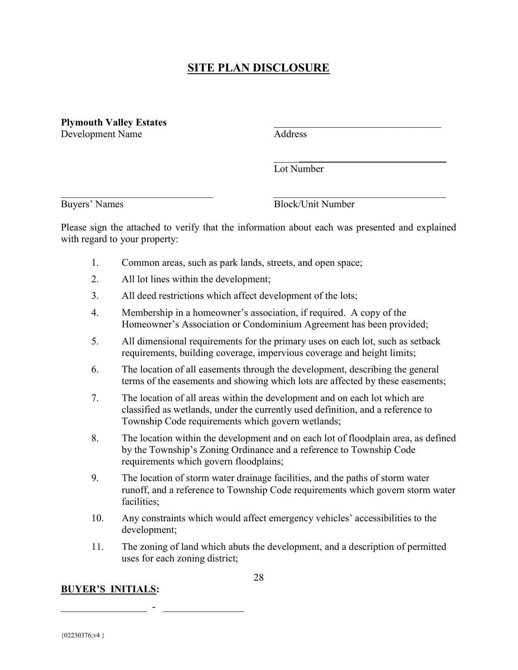### SITE PLAN DISCLOSURE

Plymouth Valley Estates Development Name Address

Lot Number

Buyers' Names Block/Unit Number

Please sign the attached to verify that the information about each was presented and explained with regard to your property:

 $\mathcal{L}_\text{max}$  and  $\mathcal{L}_\text{max}$  and  $\mathcal{L}_\text{max}$  and  $\mathcal{L}_\text{max}$  and  $\mathcal{L}_\text{max}$ 

 $\mathcal{L}_\mathcal{L} = \mathcal{L}_\mathcal{L} = \mathcal{L}_\mathcal{L} = \mathcal{L}_\mathcal{L} = \mathcal{L}_\mathcal{L} = \mathcal{L}_\mathcal{L} = \mathcal{L}_\mathcal{L} = \mathcal{L}_\mathcal{L} = \mathcal{L}_\mathcal{L} = \mathcal{L}_\mathcal{L} = \mathcal{L}_\mathcal{L} = \mathcal{L}_\mathcal{L} = \mathcal{L}_\mathcal{L} = \mathcal{L}_\mathcal{L} = \mathcal{L}_\mathcal{L} = \mathcal{L}_\mathcal{L} = \mathcal{L}_\mathcal{L}$ 

- 1. Common areas, such as park lands, streets, and open space;
- 2. All lot lines within the development;
- 3. All deed restrictions which affect development of the lots;
- 4. Membership in a homeowner's association, if required. A copy of the Homeowner's Association or Condominium Agreement has been provided;
- 5. All dimensional requirements for the primary uses on each lot, such as setback requirements, building coverage, impervious coverage and height limits;
- 6. The location of all easements through the development, describing the general terms of the easements and showing which lots are affected by these easements;
- 7. The location of all areas within the development and on each lot which are classified as wetlands, under the currently used definition, and a reference to Township Code requirements which govern wetlands;
- 8. The location within the development and on each lot of floodplain area, as defined by the Township's Zoning Ordinance and a reference to Township Code requirements which govern floodplains;
- 9. The location of storm water drainage facilities, and the paths of storm water runoff, and a reference to Township Code requirements which govern storm water facilities;
- 10. Any constraints which would affect emergency vehicles' accessibilities to the development;
- 11. The zoning of land which abuts the development, and a description of permitted uses for each zoning district;

BUYER'S INITIALS: